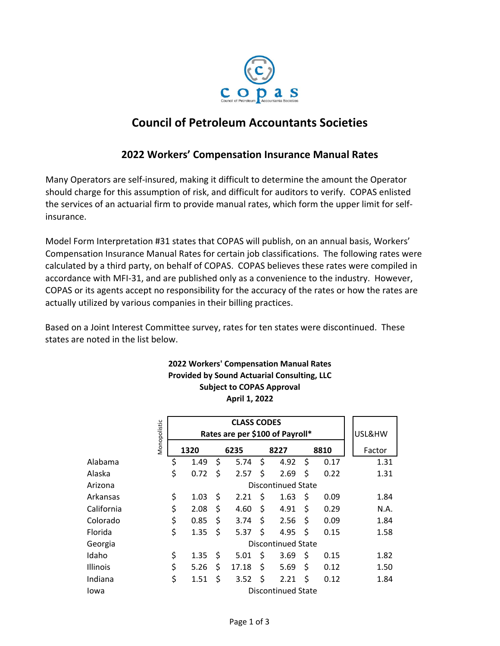

# **Council of Petroleum Accountants Societies**

## **2022 Workers' Compensation Insurance Manual Rates**

Many Operators are self‐insured, making it difficult to determine the amount the Operator should charge for this assumption of risk, and difficult for auditors to verify. COPAS enlisted the services of an actuarial firm to provide manual rates, which form the upper limit for self‐ insurance.

Model Form Interpretation #31 states that COPAS will publish, on an annual basis, Workers' Compensation Insurance Manual Rates for certain job classifications. The following rates were calculated by a third party, on behalf of COPAS. COPAS believes these rates were compiled in accordance with MFI‐31, and are published only as a convenience to the industry. However, COPAS or its agents accept no responsibility for the accuracy of the rates or how the rates are actually utilized by various companies in their billing practices.

Based on a Joint Interest Committee survey, rates for ten states were discontinued. These states are noted in the list below.

### **2022 Workers' Compensation Manual Rates Provided by Sound Actuarial Consulting, LLC Subject to COPAS Approval April 1, 2022**

|            |              | <b>CLASS CODES</b>              |                    |      |       |      |      |      |      |        |
|------------|--------------|---------------------------------|--------------------|------|-------|------|------|------|------|--------|
|            | Monopolistic | Rates are per \$100 of Payroll* |                    |      |       |      |      |      |      | USL&HW |
|            |              | 1320                            |                    | 6235 |       | 8227 |      | 8810 |      | Factor |
| Alabama    |              | \$                              | 1.49               | \$   | 5.74  | \$   | 4.92 | \$   | 0.17 | 1.31   |
| Alaska     |              | \$                              | 0.72               | \$   | 2.57  | \$   | 2.69 | \$   | 0.22 | 1.31   |
| Arizona    |              |                                 | Discontinued State |      |       |      |      |      |      |        |
| Arkansas   |              | \$                              | 1.03               | \$   | 2.21  | \$   | 1.63 | \$   | 0.09 | 1.84   |
| California |              | \$                              | 2.08               | \$   | 4.60  | \$   | 4.91 | \$   | 0.29 | N.A.   |
| Colorado   |              | \$                              | 0.85               | \$   | 3.74  | \$   | 2.56 | \$   | 0.09 | 1.84   |
| Florida    |              | \$                              | 1.35               | \$   | 5.37  | \$   | 4.95 | \$   | 0.15 | 1.58   |
| Georgia    |              | <b>Discontinued State</b>       |                    |      |       |      |      |      |      |        |
| Idaho      |              | \$                              | 1.35               | \$   | 5.01  | \$   | 3.69 | \$   | 0.15 | 1.82   |
| Illinois   |              | \$                              | 5.26               | Ś    | 17.18 | \$   | 5.69 | \$   | 0.12 | 1.50   |
| Indiana    |              | \$                              | 1.51               | \$   | 3.52  | \$   | 2.21 | \$   | 0.12 | 1.84   |
| Iowa       |              | <b>Discontinued State</b>       |                    |      |       |      |      |      |      |        |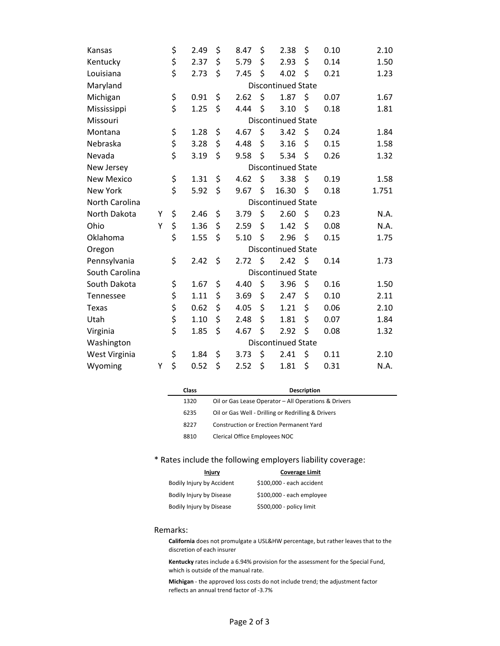| Kansas            |                           | \$                        | 2.49 | \$ | 8.47 | \$ | 2.38                      | \$      | 0.10 | 2.10  |
|-------------------|---------------------------|---------------------------|------|----|------|----|---------------------------|---------|------|-------|
| Kentucky          |                           | \$                        | 2.37 | \$ | 5.79 | \$ | 2.93                      | \$      | 0.14 | 1.50  |
| Louisiana         |                           | \$                        | 2.73 | \$ | 7.45 | \$ | 4.02                      | \$      | 0.21 | 1.23  |
| Maryland          | <b>Discontinued State</b> |                           |      |    |      |    |                           |         |      |       |
| Michigan          |                           | \$                        | 0.91 | \$ | 2.62 | \$ | 1.87                      | \$      | 0.07 | 1.67  |
| Mississippi       |                           | \$                        | 1.25 | \$ | 4.44 | \$ | 3.10                      | \$      | 0.18 | 1.81  |
| Missouri          | <b>Discontinued State</b> |                           |      |    |      |    |                           |         |      |       |
| Montana           |                           | \$                        | 1.28 | \$ | 4.67 | \$ | 3.42                      | \$      | 0.24 | 1.84  |
| Nebraska          |                           | \$                        | 3.28 | \$ | 4.48 | \$ | 3.16                      | \$      | 0.15 | 1.58  |
| Nevada            |                           | \$                        | 3.19 | \$ | 9.58 | \$ | 5.34                      | \$      | 0.26 | 1.32  |
| New Jersey        | <b>Discontinued State</b> |                           |      |    |      |    |                           |         |      |       |
| <b>New Mexico</b> |                           | \$                        | 1.31 | \$ | 4.62 | \$ | 3.38                      | \$      | 0.19 | 1.58  |
| <b>New York</b>   |                           | \$                        | 5.92 | \$ | 9.67 | \$ | 16.30                     | \$      | 0.18 | 1.751 |
| North Carolina    | <b>Discontinued State</b> |                           |      |    |      |    |                           |         |      |       |
| North Dakota      | Υ                         | \$                        | 2.46 | \$ | 3.79 | \$ | 2.60                      | \$      | 0.23 | N.A.  |
| Ohio              | Y                         | \$                        | 1.36 | \$ | 2.59 | \$ | 1.42                      | \$      | 0.08 | N.A.  |
| Oklahoma          |                           | \$                        | 1.55 | \$ | 5.10 | \$ | 2.96                      | \$      | 0.15 | 1.75  |
| Oregon            |                           | <b>Discontinued State</b> |      |    |      |    |                           |         |      |       |
| Pennsylvania      |                           | \$                        | 2.42 | \$ | 2.72 | \$ | 2.42                      | $\zeta$ | 0.14 | 1.73  |
| South Carolina    |                           |                           |      |    |      |    | <b>Discontinued State</b> |         |      |       |
| South Dakota      |                           | \$                        | 1.67 | \$ | 4.40 | \$ | 3.96                      | \$      | 0.16 | 1.50  |
| Tennessee         |                           | \$                        | 1.11 | \$ | 3.69 | \$ | 2.47                      | \$      | 0.10 | 2.11  |
| Texas             |                           | \$                        | 0.62 | \$ | 4.05 | \$ | 1.21                      | \$      | 0.06 | 2.10  |
| Utah              |                           | \$                        | 1.10 | \$ | 2.48 | \$ | 1.81                      | \$      | 0.07 | 1.84  |
| Virginia          |                           | \$                        | 1.85 | \$ | 4.67 | \$ | 2.92                      | \$      | 0.08 | 1.32  |
| Washington        | <b>Discontinued State</b> |                           |      |    |      |    |                           |         |      |       |
| West Virginia     |                           | \$                        | 1.84 | \$ | 3.73 | \$ | 2.41                      | \$      | 0.11 | 2.10  |
| Wyoming           | Υ                         | \$                        | 0.52 | \$ | 2.52 | \$ | 1.81                      | \$      | 0.31 | N.A.  |

| Class | <b>Description</b>                                   |
|-------|------------------------------------------------------|
| 1320  | Oil or Gas Lease Operator - All Operations & Drivers |
| 6235  | Oil or Gas Well - Drilling or Redrilling & Drivers   |
| 8227  | Construction or Erection Permanent Yard              |
| 8810  | Clerical Office Employees NOC                        |

### \* Rates include the following employers liability coverage:

| Injury                    | <b>Coverage Limit</b>     |
|---------------------------|---------------------------|
| Bodily Injury by Accident | \$100,000 - each accident |
| Bodily Injury by Disease  | \$100,000 - each employee |
| Bodily Injury by Disease  | \$500,000 - policy limit  |

#### Remarks:

**California** does not promulgate a USL&HW percentage, but rather leaves that to the discretion of each insurer

**Kentucky** rates include a 6.94% provision for the assessment for the Special Fund, which is outside of the manual rate.

**Michigan** ‐ the approved loss costs do not include trend; the adjustment factor reflects an annual trend factor of ‐3.7%